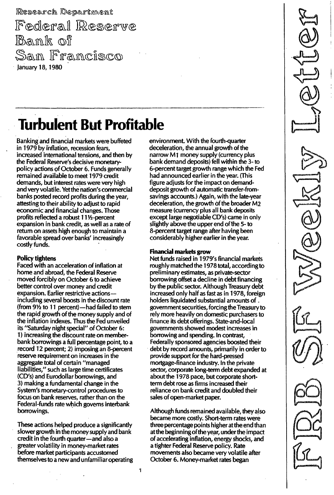Research Department

Federal Reserve Bank of San I January 18, 1980

# **Turbulent But Profitable**

Banking and financial markets were buffeted in 1979 by inflation, recession fears, increased international tensions, and then by the Federal Reserve's decisive monetarypolicy actions of October 6. Funds generally remained available to meet 1979 credit demands, but interest rates were very high and very volatile. Yet the nation's commercial banks posted record profits during the year, attesting to their ability to adjust to rapid economic and financial changes. Those profits reflected a robust 111/2-percent expansion in bank credit, as well as a rate of return on assets high enough to maintain a favorable spread over banks' increasingly costly funds.

# **Policy tightens**

Faced with an acceleration of inflation at home and abroad, the Federal Reserve moved forcibly on October 6 to achieve better control over money and credit expansion. Earlier restrictive actionsincluding several boosts in the discount rate (from  $9\frac{1}{2}$  to 11 percent)-had failed to stem the rapid growth of the money supply and of the inflation indexes. Thus the Fed unveiled its "Saturday night special" of October 6: 1) increasing the discount rate on memberbank borrowings a full percentage point, to a record 12 percent; 2) imposing an 8-percent reserve requirement on increases in the aggregate total of certain "managed liabilities," such as large time certificates (CD's) and Eurodollar borrowings, and 3) making a fundamental change in the System's monetary-control procedures to focus on bank reserves, rather than on the Federal-funds rate which governs interbank borrowings.

These actions helped produce a significantly slower growth in the money supply and bank credit in the fourth quarter-and also a greater volatility in money-market rates before market participants accustomed themselves to a new and unfamiliar operating environment. With the fourth-quarter deceleration, the annual growth of the narrow M1 money supply (currency plus bank demand deposits) fell within the 3- to 6-percent target growth range which the Fed had announced earlier in the year. (This figure adjusts for the impact on demanddeposit growth of automatic transfer-fromsavings accounts.) Again, with the late-year deceleration, the growth of the broader M2 measure (currency plus all bank deposits except large negotiable CD's) came in only slightly above the upper end of the 5- to 8-percent target range after having been considerably higher earlier in the year.

### Financial markets grow

Net funds raised in 1979's financial markets roughly matched the 1978 total, according to preliminary estimates, as private-sector borrowing offset a decline in debt financing by the public sector. Although Treasury debt increased only half as fast as in 1978, foreign holders liquidated substantial amounts of \_ government securities, forcing the Treasury to rely more heavily on domestic purchasers to finance its debt offerings. State-and-Iocal governments showed modest increases in borrowing and spending. In contrast, Federally sponsored agencies boosted their debt by record amounts, primarily in order to provide support for the hard-pressed mortgage-finance industry. In the private sector, corporate long-term debt expanded at about the 1978 pace, but corporate shortterm debt rose as firms increased their reliance on bank credit and doubled their sales of open-market paper.

Although funds remained available, they also became more costly. Short-term rates were three percentage points higher at the end than atthe beginning of the year, under the impact of accelerating inflation, energy shocks, and a tighter Federal Reserve policy. Rate movements also became very volatile after October 6. Money-market rates began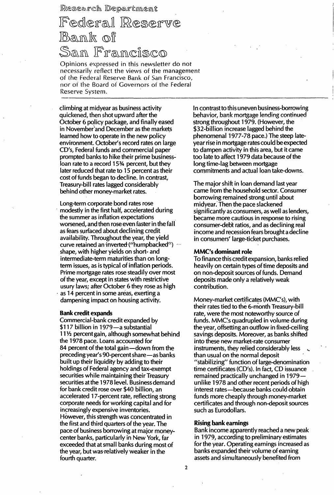Research Department

# Federal Reserve Bank of Sam Framcisco

Opinions expressed in this newsletter do not necessarily reflect the views of the management of the Federal Reserve Bank of San Francisco, nor of the Board of Governors of the Federal Reserve System.

climbing at midyear as business activity quickened, then shot upward after the October 6 policy package, and finally eased in November'and December as the markets learned how to operate in the new policy environment. October's record rates on large CD's, Federal funds and commercial paper prompted banks to hike their prime businessloan rate to a record 15<sup>34</sup> percent, but they later reduced that rate to 15 percent as their cost of funds began to decline. In contrast, Treasury-bill rates lagged considerably behind other money-market rates.

Long-term corporate bond rates rose modestly in the first half, accelerated during the summer as inflation expectations worsened, and then rose even faster in the fall as fears surfaced about declining credit availability. Throughout the year, the yield curve retained an inverted ("humpbacked") ... shape, with higher yields on short- and intermediate-term maturities than on longterm issues, as is typical of inflation periods. Prime mortgage rates rose steadily over most of the year, except in states with restrictive usury laws; after October 6 they rose as high as 14 percent in some areas, exerting a

dampening impact on housing activity.

#### Bank credit expands

Commercial-bank credit expanded by \$117 billion in 1979-a substantial 11<sup>1</sup>/<sub>2</sub> percent gain, although somewhat behind the 1978 pace. Loans accounted for 84 percent of the total gain — down from the preceding year's 90-percent share-as banks built up their liquidity by adding to their holdings of Federal agency and tax-exempt securities while maintaining their Treasury securities at the 1978 level. Business demand for bank credit rose over \$40 billion, an accelerated 17 -percent rate, reflecting strong corporate needs for working capital and for increasingly expensive inventories. However, this strength was concentrated in the first and third quarters of the year. The pace of business borrowing at major moneycenter banks, particularly in New York, far exceeded that at small banks during most of the year, but was' relatively weaker in the fourth quarter.

In contrast to this uneven business-borrowing behavior, bank mortgage lending continued strong throughout 1979. (However, the \$32-billion increase lagged behind the phenomenal 1977-78 pace.) The steep lateyear rise in mortgage rates could be expected to dampen activity in this area, but it came too late to affect 1979 data because of the long time-lag between mortgage commitments and actual loan take-downs.

The major shift in loan demand last year came from the household sector. Consumer borrowing remained strong until about midyear. Then the pace slackened significantly as consumers, as well as lenders, became more cautious in response to rising consumer-debt ratios, and as declining real income and recession fears brought a decline in consumers' large-ticket purchases.

#### MMC's dominant role

To finance this credit expansion, banks relied heavily on certain types of time deposits and on non-deposit sources of funds. Demand deposits made only a relatively weak contribution.

Money-market certificates (MMC's), with their rates tied to the 6-month Treasury-bill rate, were the most noteworthy source of funds. MMC's quadrupled in volume during the year, offsetting an outflow in fixed-ceiling savings deposits. Moreover, as banks shifted into these new market-rate consumer instruments, they relied considerably less than usual on the normal deposit "stabilizing" function of large-denomination time certificates (CD's). In fact, CD issuance remained practically unchanged in 1979unlike 1978 and other recent periods of high interest rates-because banks could obtain funds more cheaply through money-market certificates and through non-deposit sources such as Eurodollars.

#### Rising bank earnings

Bank income apparently reached a new peak in 1979, according to preliminary estimates for the year. Operating earnings increased as banks expanded their volume of earning assets and simultaneously benefited from

2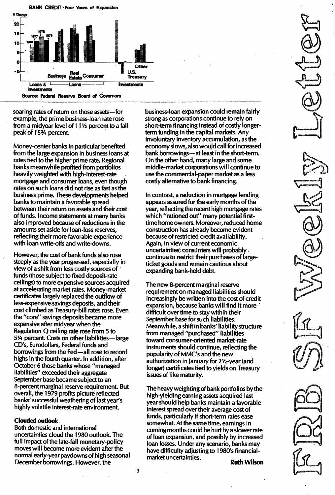

soaring rates of return on those assets - for example, the prime business-loan rate rose from a midyear level of  $11\frac{1}{2}$  percent to a fall peak of 15<sup>3</sup>% percent.

Money-center banks in particular benefited from the large expansion in business loans at rates tied to the higher prime rate. Regional banks meanwhile profited from portfolios heavily weighted with high-interest-rate mortgage and consumer loans, even though rates on such loans did not rise as fast as the business prime. These developments helped banks to maintain a favorable spread between their return on assets and their cost of funds. Income statements at many banks also improved because of reductions in the amounts set aside for loan-loss reserves, reflecting their more favorable experience with loan write-offs and write-downs.

However, the cost of bank funds also rose steeply as the year progressed, especially in view of a shift from less costly sources of funds (those subject to fixed deposit-rate ceilings) to more expensive sources acquired at accelerating market rates. Money-market certificates largely replaced the outflow of less-expensive savings deposits, and their cost climbed as Treasury-bill rates rose. Even the "core" savings deposits became more expensive after midyear when the Regulation Q ceiling rate rose from 5 to 5% percent. Costs on other liabilities-large CD's, Eurodollars, Federal funds and borrowings from the Fed-all rose to record highs in the fourth quarter. In addition, after October 6 those banks whose "managed liabilities" exceeded their aggregate September base became subject to an 8-percent marginal reserve requirement. But overall, the 1979 profits picture reflected banks' successful weathering of last year's highly volatile interest-rate environment.

## Clouded outlook

Both domestic and international uncertainties cloud the 1 980 outlook. The full impact of the late-fall monetary-policy moves will become more evident after the normal early-year paydowns of high seasonal December borrowings. However, the

business-loan expansion could remain fairly strong as corporations continue to rely on short-term financing instead of costly longerterm funding in the capital markets. Any involuntary inventory accumulation, as the economy slows, also would call for increased bank borrowings-at least in the short-term. On the other hand, many large and some middle-market corporations will continue to use the commercial-paper market as a less costly alternative to bank financing.

In contrast, a reduction in mortgage lending appears assured for the early months of the year, reflecting the recent high mortgage rates which "rationed out" many potential firsttime home owners. Moreover, reduced home construction has already become evident because of restricted credit availability. Again, in view of current economic uncertainties, consumers will probably continue to restrict their purchases of largeticket goods and remain cautious about expanding bank-held debt.

The new 8-percent marginal reserve requirement on managed liabilities should increasingly be written into the cost of credit expansion, because banks will find it more difficult over time to stay within their September base for such liabilities. Meanwhile, a shift in banks' liability structure from managed "purchased" liabilities toward consumer-oriented market-rate instruments should continue, reflecting the popularity of MMC's and the new authorization in January for 2Y2-year (and longer) certificates tied to yields on Treasury issues of like maturity.

The heavy weighting of bank portfolios by the high-yielding earning assets acquired last year should help banks maintain a favorable interest spread over their average cost of funds, particularly if short-term rates ease somewhat. At the same time, earnings in coming months could be hurt by a slower rate of loan expansion, and possibly by increased loan losses. Under any scenario, banks may have difficulty adjusting to 1980's financialmarket uncertainties.<br>**Ruth Wilson**